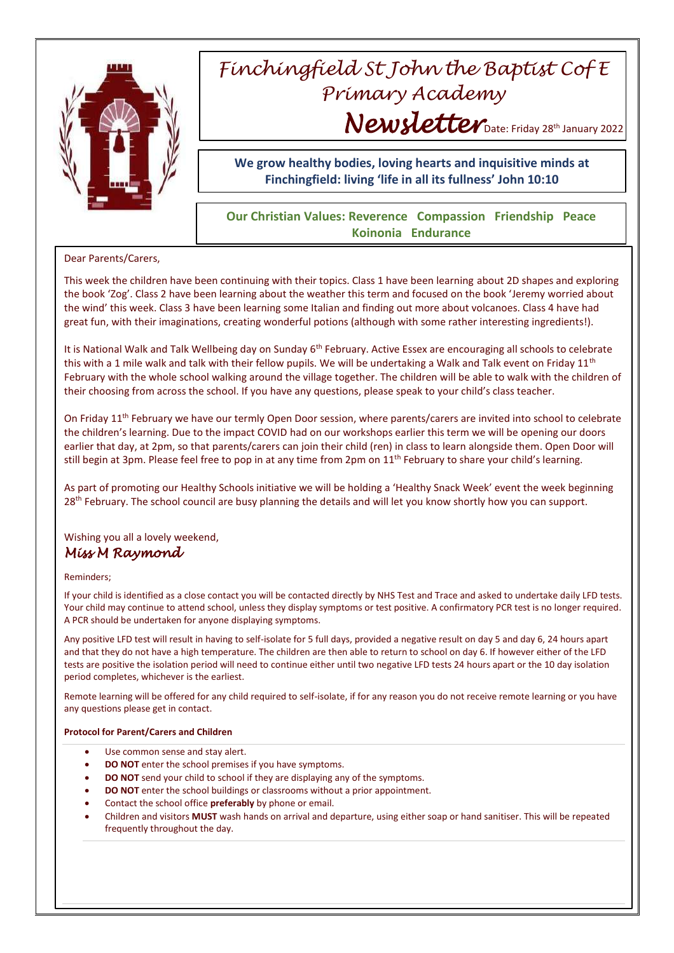

# *Finchingfield St John the Baptist Cof E Primary Academy* Newsletter Date: Friday 28<sup>th</sup> January 2022

**We grow healthy bodies, loving hearts and inquisitive minds at Finchingfield: living 'life in all its fullness' John 10:10**

## **Our Christian Values: Reverence Compassion Friendship Peace Koinonia Endurance**

## Dear Parents/Carers,

This week the children have been continuing with their topics. Class 1 have been learning about 2D shapes and exploring the book 'Zog'. Class 2 have been learning about the weather this term and focused on the book 'Jeremy worried about the wind' this week. Class 3 have been learning some Italian and finding out more about volcanoes. Class 4 have had great fun, with their imaginations, creating wonderful potions (although with some rather interesting ingredients!).

It is National Walk and Talk Wellbeing day on Sunday  $6<sup>th</sup>$  February. Active Essex are encouraging all schools to celebrate this with a 1 mile walk and talk with their fellow pupils. We will be undertaking a Walk and Talk event on Friday 11<sup>th</sup> February with the whole school walking around the village together. The children will be able to walk with the children of their choosing from across the school. If you have any questions, please speak to your child's class teacher.

On Friday 11<sup>th</sup> February we have our termly Open Door session, where parents/carers are invited into school to celebrate the children's learning. Due to the impact COVID had on our workshops earlier this term we will be opening our doors earlier that day, at 2pm, so that parents/carers can join their child (ren) in class to learn alongside them. Open Door will still begin at 3pm. Please feel free to pop in at any time from 2pm on 11<sup>th</sup> February to share your child's learning.

As part of promoting our Healthy Schools initiative we will be holding a 'Healthy Snack Week' event the week beginning 28<sup>th</sup> February. The school council are busy planning the details and will let you know shortly how you can support.

## Wishing you all a lovely weekend, *Miss M Raymond*

### Reminders;

If your child is identified as a close contact you will be contacted directly by NHS Test and Trace and asked to undertake daily LFD tests. Your child may continue to attend school, unless they display symptoms or test positive. A confirmatory PCR test is no longer required. A PCR should be undertaken for anyone displaying symptoms.

Any positive LFD test will result in having to self-isolate for 5 full days, provided a negative result on day 5 and day 6, 24 hours apart and that they do not have a high temperature. The children are then able to return to school on day 6. If however either of the LFD tests are positive the isolation period will need to continue either until two negative LFD tests 24 hours apart or the 10 day isolation period completes, whichever is the earliest.

Remote learning will be offered for any child required to self-isolate, if for any reason you do not receive remote learning or you have any questions please get in contact.

#### **Protocol for Parent/Carers and Children**

- Use common sense and stay alert.
- **DO NOT** enter the school premises if you have symptoms.
- **DO NOT** send your child to school if they are displaying any of the symptoms.
- **DO NOT** enter the school buildings or classrooms without a prior appointment.
- Contact the school office **preferably** by phone or email.
- Children and visitors **MUST** wash hands on arrival and departure, using either soap or hand sanitiser. This will be repeated frequently throughout the day.